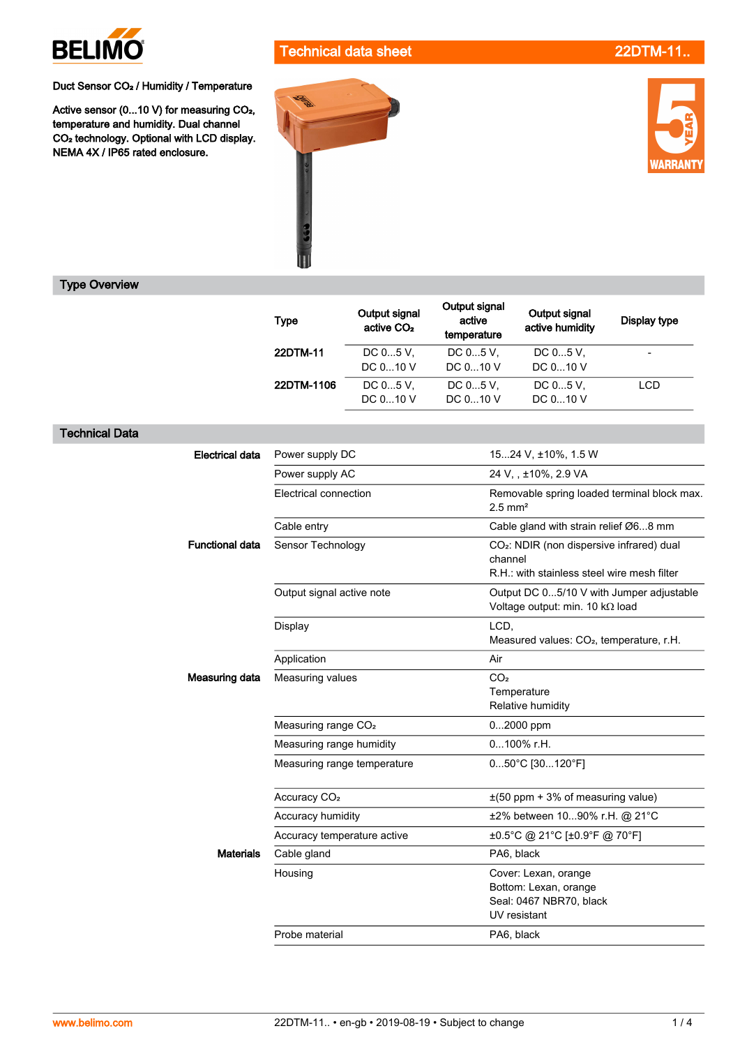

Technical data sheet 22DTM-11.

Duct Sensor CO<sub>2</sub> / Humidity / Temperature

Active sensor (0...10 V) for measuring CO<sub>2</sub>, temperature and humidity. Dual channel<br>CO<sub>2</sub> technology. Optional with LCD display. NEMA 4X / IP65 rated enclosure.





## Type Overview

Technical Data

|                        | <b>Type</b>                     | Output signal<br>active CO <sub>2</sub> | Output signal<br>active<br>temperature                                                                          | Output signal<br>active humidity                                                         | <b>Display type</b> |  |
|------------------------|---------------------------------|-----------------------------------------|-----------------------------------------------------------------------------------------------------------------|------------------------------------------------------------------------------------------|---------------------|--|
|                        | 22DTM-11                        | DC 05 V,<br>DC 010 V                    | DC 05 V,<br>DC 010 V                                                                                            | DC 05 V,<br>DC 010 V                                                                     | $\overline{a}$      |  |
|                        | 22DTM-1106                      | DC 05 V,<br>DC 010 V                    | DC 05 V,<br>DC 010 V                                                                                            | DC 05 V,<br>DC 010 V                                                                     | <b>LCD</b>          |  |
|                        |                                 |                                         |                                                                                                                 |                                                                                          |                     |  |
| <b>Electrical data</b> | Power supply DC                 |                                         | 1524 V, ±10%, 1.5 W                                                                                             |                                                                                          |                     |  |
|                        | Power supply AC                 |                                         | 24 V, , ±10%, 2.9 VA                                                                                            |                                                                                          |                     |  |
|                        | Electrical connection           |                                         | Removable spring loaded terminal block max.<br>$2.5$ mm <sup>2</sup>                                            |                                                                                          |                     |  |
|                        | Cable entry                     |                                         | Cable gland with strain relief Ø68 mm                                                                           |                                                                                          |                     |  |
| <b>Functional data</b> | Sensor Technology               |                                         | CO <sub>2</sub> : NDIR (non dispersive infrared) dual<br>channel<br>R.H.: with stainless steel wire mesh filter |                                                                                          |                     |  |
|                        | Output signal active note       |                                         | Output DC 05/10 V with Jumper adjustable<br>Voltage output: min. 10 kΩ load                                     |                                                                                          |                     |  |
|                        | Display                         |                                         |                                                                                                                 | LCD,<br>Measured values: CO <sub>2</sub> , temperature, r.H.                             |                     |  |
|                        | Application                     |                                         | Air                                                                                                             |                                                                                          |                     |  |
| Measuring data         | Measuring values                |                                         | CO <sub>2</sub>                                                                                                 | Temperature<br>Relative humidity                                                         |                     |  |
|                        | Measuring range CO <sub>2</sub> |                                         |                                                                                                                 | 02000 ppm                                                                                |                     |  |
|                        | Measuring range humidity        |                                         |                                                                                                                 | 0100% r.H.                                                                               |                     |  |
|                        | Measuring range temperature     |                                         |                                                                                                                 | 050°C [30120°F]                                                                          |                     |  |
|                        | Accuracy CO <sub>2</sub>        |                                         |                                                                                                                 | $\pm$ (50 ppm + 3% of measuring value)                                                   |                     |  |
|                        | Accuracy humidity               |                                         | ±2% between 1090% r.H. @ 21°C                                                                                   |                                                                                          |                     |  |
|                        | Accuracy temperature active     |                                         | ±0.5°C @ 21°C [±0.9°F @ 70°F]                                                                                   |                                                                                          |                     |  |
| <b>Materials</b>       | Cable gland                     |                                         | PA6, black                                                                                                      |                                                                                          |                     |  |
|                        | Housing                         |                                         |                                                                                                                 | Cover: Lexan, orange<br>Bottom: Lexan, orange<br>Seal: 0467 NBR70, black<br>UV resistant |                     |  |
|                        | Probe material                  |                                         |                                                                                                                 | PA6, black                                                                               |                     |  |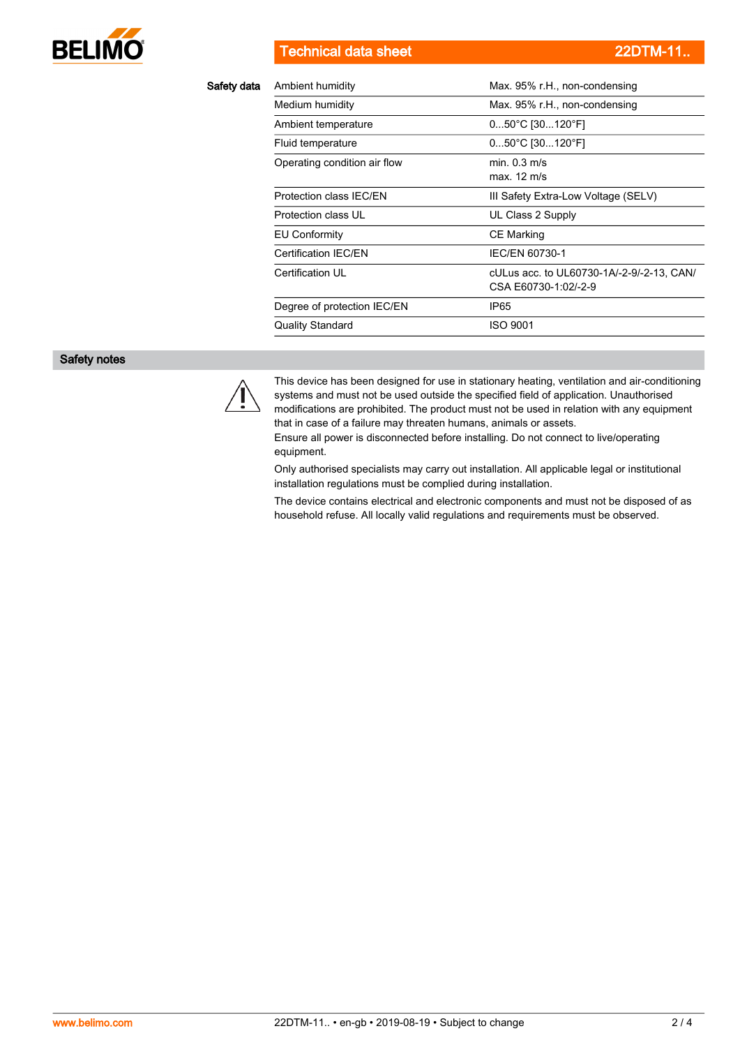

Technical data sheet 22DTM-11

| Safety data | Ambient humidity             | Max. 95% r.H., non-condensing                                     |  |  |
|-------------|------------------------------|-------------------------------------------------------------------|--|--|
|             | Medium humidity              | Max. 95% r.H., non-condensing                                     |  |  |
|             | Ambient temperature          | $050^{\circ}$ C [30120 $^{\circ}$ F]                              |  |  |
|             | Fluid temperature            | $050^{\circ}$ C [30120 $^{\circ}$ F]                              |  |  |
|             | Operating condition air flow | min. 0.3 m/s<br>max. 12 m/s                                       |  |  |
|             | Protection class IEC/EN      | III Safety Extra-Low Voltage (SELV)                               |  |  |
|             | Protection class UL          | UL Class 2 Supply                                                 |  |  |
|             | EU Conformity                | CE Marking                                                        |  |  |
|             | Certification IEC/EN         | IEC/EN 60730-1                                                    |  |  |
|             | Certification UL             | cULus acc. to UL60730-1A/-2-9/-2-13, CAN/<br>CSA E60730-1:02/-2-9 |  |  |
|             | Degree of protection IEC/EN  | IP65                                                              |  |  |
|             | <b>Quality Standard</b>      | <b>ISO 9001</b>                                                   |  |  |
|             |                              |                                                                   |  |  |

## Safety notes



This device has been designed for use in stationary heating, ventilation and air-conditioning systems and must not be used outside the specified field of application. Unauthorised modifications are prohibited. The product must not be used in relation with any equipment that in case of a failure may threaten humans, animals or assets.

Ensure all power is disconnected before installing. Do not connect to live/operating equipment.

Only authorised specialists may carry out installation. All applicable legal or institutional installation regulations must be complied during installation.

The device contains electrical and electronic components and must not be disposed of as household refuse. All locally valid regulations and requirements must be observed.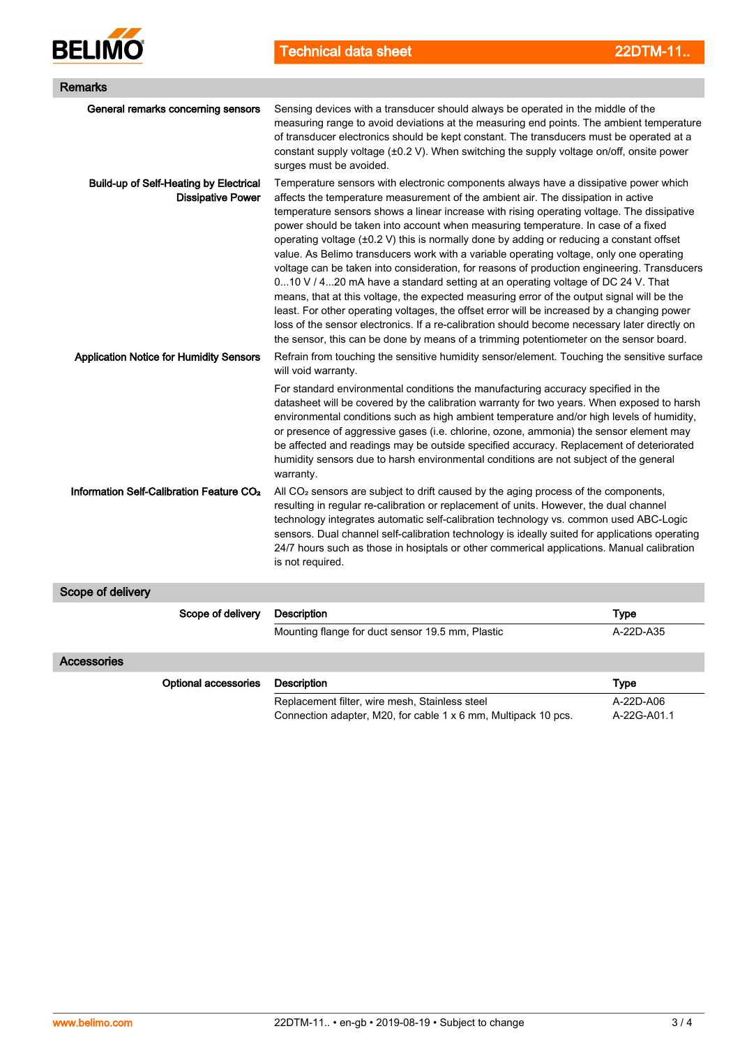

Technical data sheet 22DTM-11

| <b>Remarks</b>                                                            |                                                                                                                                                                                                                                                                                                                                                                                                                                                                                                                                                                                                                                                                                                                                                                                                                                                                                                                                                                                                                                                                                                                                            |             |  |  |  |
|---------------------------------------------------------------------------|--------------------------------------------------------------------------------------------------------------------------------------------------------------------------------------------------------------------------------------------------------------------------------------------------------------------------------------------------------------------------------------------------------------------------------------------------------------------------------------------------------------------------------------------------------------------------------------------------------------------------------------------------------------------------------------------------------------------------------------------------------------------------------------------------------------------------------------------------------------------------------------------------------------------------------------------------------------------------------------------------------------------------------------------------------------------------------------------------------------------------------------------|-------------|--|--|--|
| General remarks concerning sensors                                        | Sensing devices with a transducer should always be operated in the middle of the<br>measuring range to avoid deviations at the measuring end points. The ambient temperature<br>of transducer electronics should be kept constant. The transducers must be operated at a<br>constant supply voltage (±0.2 V). When switching the supply voltage on/off, onsite power<br>surges must be avoided.                                                                                                                                                                                                                                                                                                                                                                                                                                                                                                                                                                                                                                                                                                                                            |             |  |  |  |
| <b>Build-up of Self-Heating by Electrical</b><br><b>Dissipative Power</b> | Temperature sensors with electronic components always have a dissipative power which<br>affects the temperature measurement of the ambient air. The dissipation in active<br>temperature sensors shows a linear increase with rising operating voltage. The dissipative<br>power should be taken into account when measuring temperature. In case of a fixed<br>operating voltage $(\pm 0.2 \text{ V})$ this is normally done by adding or reducing a constant offset<br>value. As Belimo transducers work with a variable operating voltage, only one operating<br>voltage can be taken into consideration, for reasons of production engineering. Transducers<br>010 V / 420 mA have a standard setting at an operating voltage of DC 24 V. That<br>means, that at this voltage, the expected measuring error of the output signal will be the<br>least. For other operating voltages, the offset error will be increased by a changing power<br>loss of the sensor electronics. If a re-calibration should become necessary later directly on<br>the sensor, this can be done by means of a trimming potentiometer on the sensor board. |             |  |  |  |
| <b>Application Notice for Humidity Sensors</b>                            | Refrain from touching the sensitive humidity sensor/element. Touching the sensitive surface<br>will void warranty.<br>For standard environmental conditions the manufacturing accuracy specified in the<br>datasheet will be covered by the calibration warranty for two years. When exposed to harsh<br>environmental conditions such as high ambient temperature and/or high levels of humidity,<br>or presence of aggressive gases (i.e. chlorine, ozone, ammonia) the sensor element may<br>be affected and readings may be outside specified accuracy. Replacement of deteriorated<br>humidity sensors due to harsh environmental conditions are not subject of the general<br>warranty.                                                                                                                                                                                                                                                                                                                                                                                                                                              |             |  |  |  |
| Information Self-Calibration Feature CO <sub>2</sub>                      | All $CO2$ sensors are subject to drift caused by the aging process of the components,<br>resulting in regular re-calibration or replacement of units. However, the dual channel<br>technology integrates automatic self-calibration technology vs. common used ABC-Logic<br>sensors. Dual channel self-calibration technology is ideally suited for applications operating<br>24/7 hours such as those in hosiptals or other commerical applications. Manual calibration<br>is not required.                                                                                                                                                                                                                                                                                                                                                                                                                                                                                                                                                                                                                                               |             |  |  |  |
| Scope of delivery                                                         |                                                                                                                                                                                                                                                                                                                                                                                                                                                                                                                                                                                                                                                                                                                                                                                                                                                                                                                                                                                                                                                                                                                                            |             |  |  |  |
| Scope of delivery                                                         | <b>Description</b>                                                                                                                                                                                                                                                                                                                                                                                                                                                                                                                                                                                                                                                                                                                                                                                                                                                                                                                                                                                                                                                                                                                         | <b>Type</b> |  |  |  |
|                                                                           | Mounting flange for duct sensor 19.5 mm, Plastic                                                                                                                                                                                                                                                                                                                                                                                                                                                                                                                                                                                                                                                                                                                                                                                                                                                                                                                                                                                                                                                                                           | A-22D-A35   |  |  |  |
| Accessories                                                               |                                                                                                                                                                                                                                                                                                                                                                                                                                                                                                                                                                                                                                                                                                                                                                                                                                                                                                                                                                                                                                                                                                                                            |             |  |  |  |
| <b>Optional accessories</b>                                               | <b>Description</b>                                                                                                                                                                                                                                                                                                                                                                                                                                                                                                                                                                                                                                                                                                                                                                                                                                                                                                                                                                                                                                                                                                                         | Type        |  |  |  |
|                                                                           | Replacement filter, wire mesh, Stainless steel                                                                                                                                                                                                                                                                                                                                                                                                                                                                                                                                                                                                                                                                                                                                                                                                                                                                                                                                                                                                                                                                                             | A-22D-A06   |  |  |  |

Connection adapter, M20, for cable 1 x 6 mm, Multipack 10 pcs. A-22G-A01.1